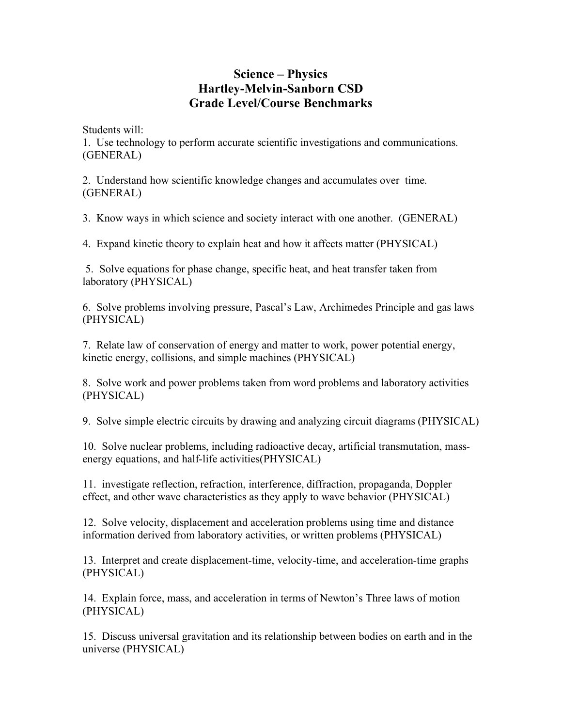## **Science – Physics Hartley-Melvin-Sanborn CSD Grade Level/Course Benchmarks**

Students will:

1. Use technology to perform accurate scientific investigations and communications. (GENERAL)

2. Understand how scientific knowledge changes and accumulates over time. (GENERAL)

3. Know ways in which science and society interact with one another. (GENERAL)

4. Expand kinetic theory to explain heat and how it affects matter (PHYSICAL)

 5. Solve equations for phase change, specific heat, and heat transfer taken from laboratory (PHYSICAL)

6. Solve problems involving pressure, Pascal's Law, Archimedes Principle and gas laws (PHYSICAL)

7. Relate law of conservation of energy and matter to work, power potential energy, kinetic energy, collisions, and simple machines (PHYSICAL)

8. Solve work and power problems taken from word problems and laboratory activities (PHYSICAL)

9. Solve simple electric circuits by drawing and analyzing circuit diagrams (PHYSICAL)

10. Solve nuclear problems, including radioactive decay, artificial transmutation, massenergy equations, and half-life activities(PHYSICAL)

11. investigate reflection, refraction, interference, diffraction, propaganda, Doppler effect, and other wave characteristics as they apply to wave behavior (PHYSICAL)

12. Solve velocity, displacement and acceleration problems using time and distance information derived from laboratory activities, or written problems (PHYSICAL)

13. Interpret and create displacement-time, velocity-time, and acceleration-time graphs (PHYSICAL)

14. Explain force, mass, and acceleration in terms of Newton's Three laws of motion (PHYSICAL)

15. Discuss universal gravitation and its relationship between bodies on earth and in the universe (PHYSICAL)